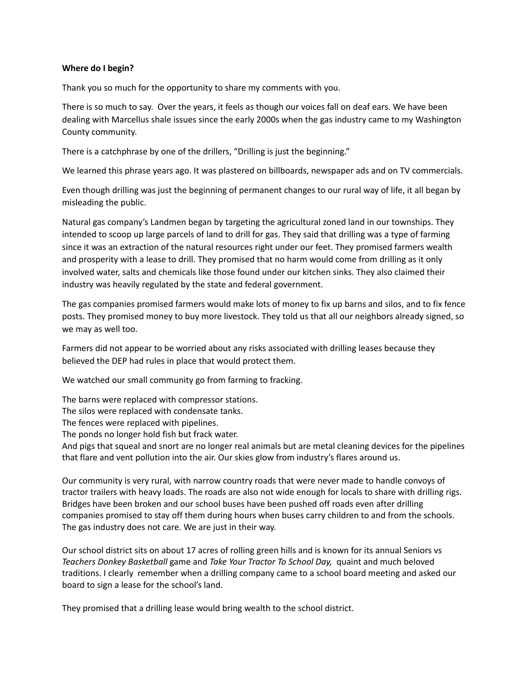## **Where do I begin?**

Thank you so much for the opportunity to share my comments with you.

There is so much to say. Over the years, it feels as though our voices fall on deaf ears. We have been dealing with Marcellus shale issues since the early 2000s when the gas industry came to my Washington County community.

There is a catchphrase by one of the drillers, "Drilling is just the beginning."

We learned this phrase years ago. It was plastered on billboards, newspaper ads and on TV commercials.

Even though drilling was just the beginning of permanent changes to our rural way of life, it all began by misleading the public.

Natural gas company's Landmen began by targeting the agricultural zoned land in our townships. They intended to scoop up large parcels of land to drill for gas. They said that drilling was a type of farming since it was an extraction of the natural resources right under our feet. They promised farmers wealth and prosperity with a lease to drill. They promised that no harm would come from drilling as it only involved water, salts and chemicals like those found under our kitchen sinks. They also claimed their industry was heavily regulated by the state and federal government.

The gas companies promised farmers would make lots of money to fix up barns and silos, and to fix fence posts. They promised money to buy more livestock. They told us that all our neighbors already signed, so we may as well too.

Farmers did not appear to be worried about any risks associated with drilling leases because they believed the DEP had rules in place that would protect them.

We watched our small community go from farming to fracking.

The barns were replaced with compressor stations.

The silos were replaced with condensate tanks.

The fences were replaced with pipelines.

The ponds no longer hold fish but frack water.

And pigs that squeal and snort are no longer real animals but are metal cleaning devices for the pipelines that flare and vent pollution into the air. Our skies glow from industry's flares around us.

Our community is very rural, with narrow country roads that were never made to handle convoys of tractor trailers with heavy loads. The roads are also not wide enough for locals to share with drilling rigs. Bridges have been broken and our school buses have been pushed off roads even after drilling companies promised to stay off them during hours when buses carry children to and from the schools. The gas industry does not care. We are just in their way.

Our school district sits on about 17 acres of rolling green hills and is known for its annual Seniors vs *Teachers Donkey Basketball* game and *Take Your Tractor To School Day,* quaint and much beloved traditions. I clearly remember when a drilling company came to a school board meeting and asked our board to sign a lease for the school's land.

They promised that a drilling lease would bring wealth to the school district.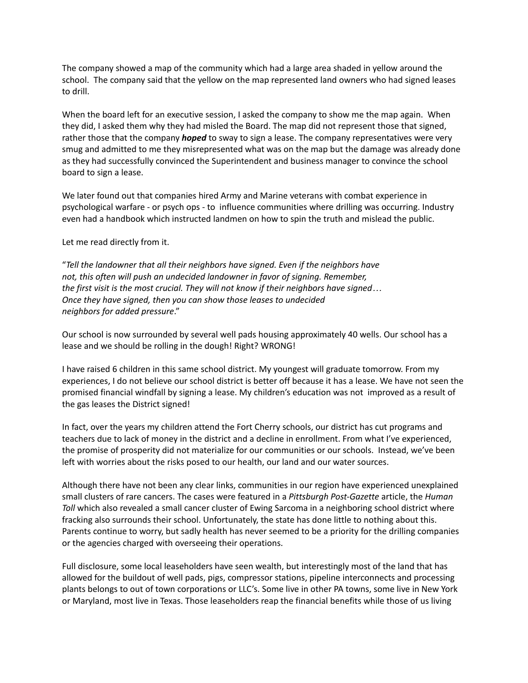The company showed a map of the community which had a large area shaded in yellow around the school. The company said that the yellow on the map represented land owners who had signed leases to drill.

When the board left for an executive session, I asked the company to show me the map again. When they did, I asked them why they had misled the Board. The map did not represent those that signed, rather those that the company *hoped* to sway to sign a lease. The company representatives were very smug and admitted to me they misrepresented what was on the map but the damage was already done as they had successfully convinced the Superintendent and business manager to convince the school board to sign a lease.

We later found out that companies hired Army and Marine veterans with combat experience in psychological warfare - or psych ops - to influence communities where drilling was occurring. Industry even had a handbook which instructed landmen on how to spin the truth and mislead the public.

Let me read directly from it.

"*Tell the landowner that all their neighbors have signed. Even if the neighbors have not, this often will push an undecided landowner in favor of signing. Remember, the first visit is the most crucial. They will not know if their neighbors have signed… Once they have signed, then you can show those leases to undecided neighbors for added pressure*."

Our school is now surrounded by several well pads housing approximately 40 wells. Our school has a lease and we should be rolling in the dough! Right? WRONG!

I have raised 6 children in this same school district. My youngest will graduate tomorrow. From my experiences, I do not believe our school district is better off because it has a lease. We have not seen the promised financial windfall by signing a lease. My children's education was not improved as a result of the gas leases the District signed!

In fact, over the years my children attend the Fort Cherry schools, our district has cut programs and teachers due to lack of money in the district and a decline in enrollment. From what I've experienced, the promise of prosperity did not materialize for our communities or our schools. Instead, we've been left with worries about the risks posed to our health, our land and our water sources.

Although there have not been any clear links, communities in our region have experienced unexplained small clusters of rare cancers. The cases were featured in a *Pittsburgh Post-Gazette* article, the *Human Toll* which also revealed a small cancer cluster of Ewing Sarcoma in a neighboring school district where fracking also surrounds their school. Unfortunately, the state has done little to nothing about this. Parents continue to worry, but sadly health has never seemed to be a priority for the drilling companies or the agencies charged with overseeing their operations.

Full disclosure, some local leaseholders have seen wealth, but interestingly most of the land that has allowed for the buildout of well pads, pigs, compressor stations, pipeline interconnects and processing plants belongs to out of town corporations or LLC's. Some live in other PA towns, some live in New York or Maryland, most live in Texas. Those leaseholders reap the financial benefits while those of us living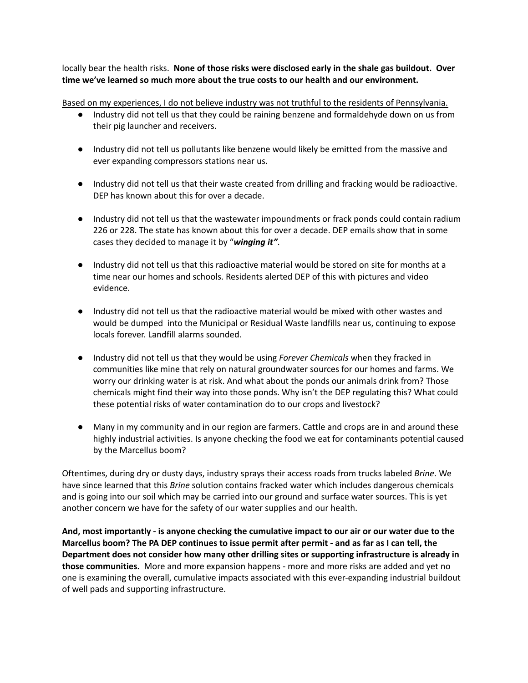locally bear the health risks. **None of those risks were disclosed early in the shale gas buildout. Over time we've learned so much more about the true costs to our health and our environment.**

Based on my experiences, I do not believe industry was not truthful to the residents of Pennsylvania.

- Industry did not tell us that they could be raining benzene and formaldehyde down on us from their pig launcher and receivers.
- Industry did not tell us pollutants like benzene would likely be emitted from the massive and ever expanding compressors stations near us.
- Industry did not tell us that their waste created from drilling and fracking would be radioactive. DEP has known about this for over a decade.
- Industry did not tell us that the wastewater impoundments or frack ponds could contain radium 226 or 228. The state has known about this for over a decade. DEP emails show that in some cases they decided to manage it by "*winging it"*.
- Industry did not tell us that this radioactive material would be stored on site for months at a time near our homes and schools. Residents alerted DEP of this with pictures and video evidence.
- Industry did not tell us that the radioactive material would be mixed with other wastes and would be dumped into the Municipal or Residual Waste landfills near us, continuing to expose locals forever. Landfill alarms sounded.
- Industry did not tell us that they would be using *Forever Chemicals* when they fracked in communities like mine that rely on natural groundwater sources for our homes and farms. We worry our drinking water is at risk. And what about the ponds our animals drink from? Those chemicals might find their way into those ponds. Why isn't the DEP regulating this? What could these potential risks of water contamination do to our crops and livestock?
- Many in my community and in our region are farmers. Cattle and crops are in and around these highly industrial activities. Is anyone checking the food we eat for contaminants potential caused by the Marcellus boom?

Oftentimes, during dry or dusty days, industry sprays their access roads from trucks labeled *Brine*. We have since learned that this *Brine* solution contains fracked water which includes dangerous chemicals and is going into our soil which may be carried into our ground and surface water sources. This is yet another concern we have for the safety of our water supplies and our health.

And, most importantly - is anyone checking the cumulative impact to our air or our water due to the Marcellus boom? The PA DEP continues to issue permit after permit - and as far as I can tell, the **Department does not consider how many other drilling sites or supporting infrastructure is already in those communities.** More and more expansion happens - more and more risks are added and yet no one is examining the overall, cumulative impacts associated with this ever-expanding industrial buildout of well pads and supporting infrastructure.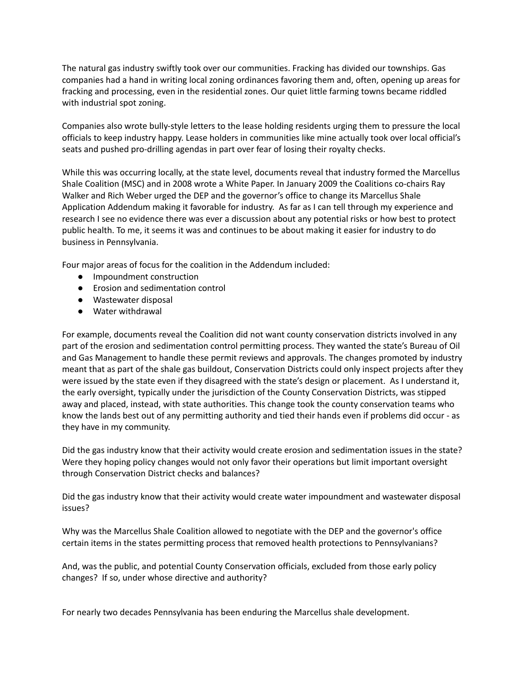The natural gas industry swiftly took over our communities. Fracking has divided our townships. Gas companies had a hand in writing local zoning ordinances favoring them and, often, opening up areas for fracking and processing, even in the residential zones. Our quiet little farming towns became riddled with industrial spot zoning.

Companies also wrote bully-style letters to the lease holding residents urging them to pressure the local officials to keep industry happy. Lease holders in communities like mine actually took over local official's seats and pushed pro-drilling agendas in part over fear of losing their royalty checks.

While this was occurring locally, at the state level, documents reveal that industry formed the Marcellus Shale Coalition (MSC) and in 2008 wrote a White Paper. In January 2009 the Coalitions co-chairs Ray Walker and Rich Weber urged the DEP and the governor's office to change its Marcellus Shale Application Addendum making it favorable for industry. As far as I can tell through my experience and research I see no evidence there was ever a discussion about any potential risks or how best to protect public health. To me, it seems it was and continues to be about making it easier for industry to do business in Pennsylvania.

Four major areas of focus for the coalition in the Addendum included:

- Impoundment construction
- Erosion and sedimentation control
- Wastewater disposal
- Water withdrawal

For example, documents reveal the Coalition did not want county conservation districts involved in any part of the erosion and sedimentation control permitting process. They wanted the state's Bureau of Oil and Gas Management to handle these permit reviews and approvals. The changes promoted by industry meant that as part of the shale gas buildout, Conservation Districts could only inspect projects after they were issued by the state even if they disagreed with the state's design or placement. As I understand it, the early oversight, typically under the jurisdiction of the County Conservation Districts, was stipped away and placed, instead, with state authorities. This change took the county conservation teams who know the lands best out of any permitting authority and tied their hands even if problems did occur - as they have in my community.

Did the gas industry know that their activity would create erosion and sedimentation issues in the state? Were they hoping policy changes would not only favor their operations but limit important oversight through Conservation District checks and balances?

Did the gas industry know that their activity would create water impoundment and wastewater disposal issues?

Why was the Marcellus Shale Coalition allowed to negotiate with the DEP and the governor's office certain items in the states permitting process that removed health protections to Pennsylvanians?

And, was the public, and potential County Conservation officials, excluded from those early policy changes? If so, under whose directive and authority?

For nearly two decades Pennsylvania has been enduring the Marcellus shale development.